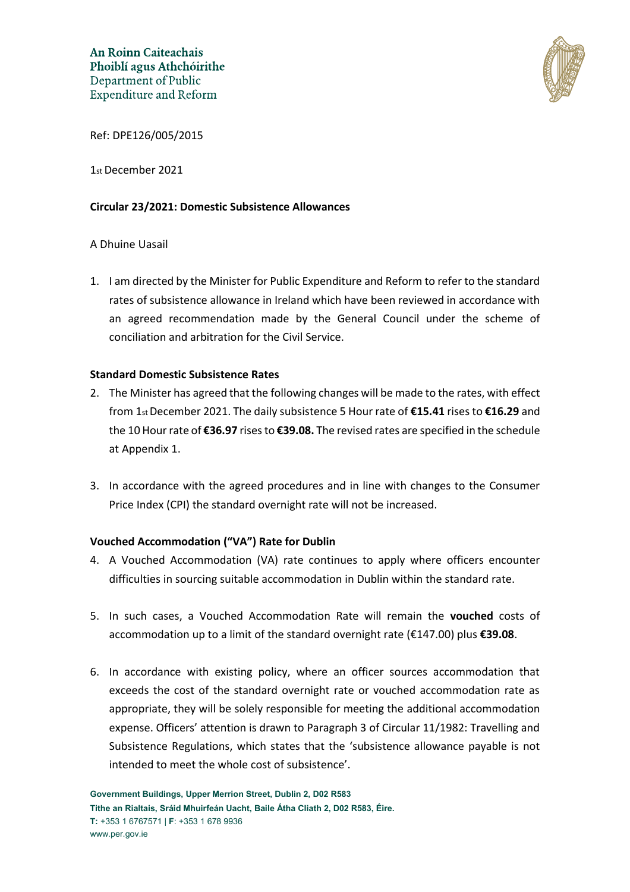

Ref: DPE126/005/2015

1st December 2021

### **Circular 23/2021: Domestic Subsistence Allowances**

### A Dhuine Uasail

1. I am directed by the Minister for Public Expenditure and Reform to refer to the standard rates of subsistence allowance in Ireland which have been reviewed in accordance with an agreed recommendation made by the General Council under the scheme of conciliation and arbitration for the Civil Service.

#### **Standard Domestic Subsistence Rates**

- 2. The Minister has agreed that the following changes will be made to the rates, with effect from 1st December 2021. The daily subsistence 5 Hour rate of **€15.41** rises to **€16.29** and the 10 Hour rate of **€36.97** rises to **€39.08.** The revised rates are specified in the schedule at Appendix 1.
- 3. In accordance with the agreed procedures and in line with changes to the Consumer Price Index (CPI) the standard overnight rate will not be increased.

### **Vouched Accommodation ("VA") Rate for Dublin**

- 4. A Vouched Accommodation (VA) rate continues to apply where officers encounter difficulties in sourcing suitable accommodation in Dublin within the standard rate.
- 5. In such cases, a Vouched Accommodation Rate will remain the **vouched** costs of accommodation up to a limit of the standard overnight rate (€147.00) plus **€39.08**.
- 6. In accordance with existing policy, where an officer sources accommodation that exceeds the cost of the standard overnight rate or vouched accommodation rate as appropriate, they will be solely responsible for meeting the additional accommodation expense. Officers' attention is drawn to Paragraph 3 of Circular 11/1982: Travelling and Subsistence Regulations, which states that the 'subsistence allowance payable is not intended to meet the whole cost of subsistence'.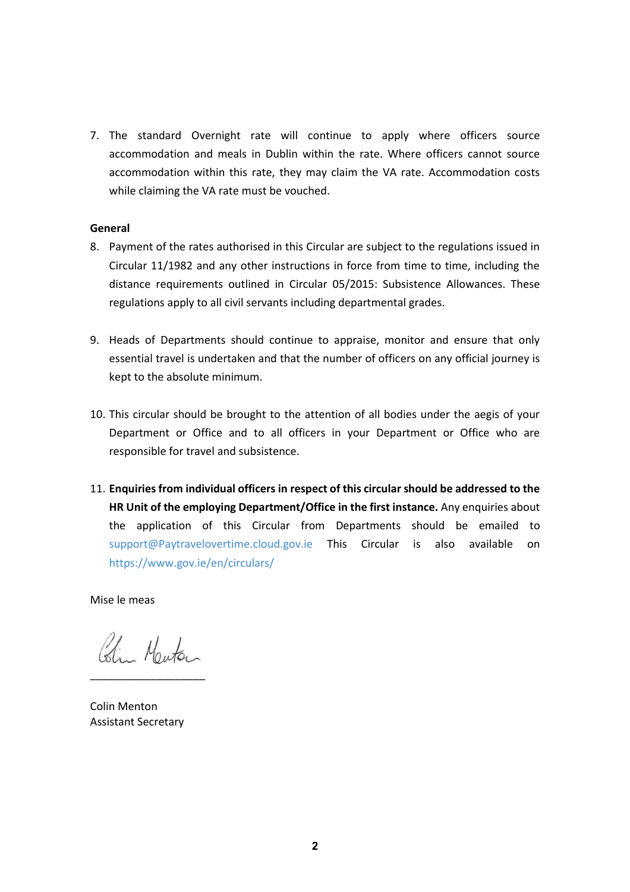7. The standard Overnight rate will continue to apply where officers source accommodation and meals in Dublin within the rate. Where officers cannot source accommodation within this rate, they may claim the VA rate. Accommodation costs while claiming the VA rate must be vouched.

### **General**

- 8. Payment of the rates authorised in this Circular are subject to the regulations issued in Circular 11/1982 and any other instructions in force from time to time, including the distance requirements outlined in Circular 05/2015: Subsistence Allowances. These regulations apply to all civil servants including departmental grades.
- 9. Heads of Departments should continue to appraise, monitor and ensure that only essential travel is undertaken and that the number of officers on any official journey is kept to the absolute minimum.
- 10. This circular should be brought to the attention of all bodies under the aegis of your Department or Office and to all officers in your Department or Office who are responsible for travel and subsistence.
- 11. **Enquiries from individual officers in respect of this circular should be addressed to the HR Unit of the employing Department/Office in the first instance.** Any enquiries about the application of this Circular from Departments should be emailed to [support@Paytravelovertime.cloud.gov.ie](mailto:support@Paytravelovertime.cloud.gov.ie) This Circular is also available on <https://www.gov.ie/en/circulars/>

Mise le meas

Colin Marton \_\_\_\_\_\_\_\_\_\_\_\_\_\_\_\_\_\_\_

Colin Menton Assistant Secretary